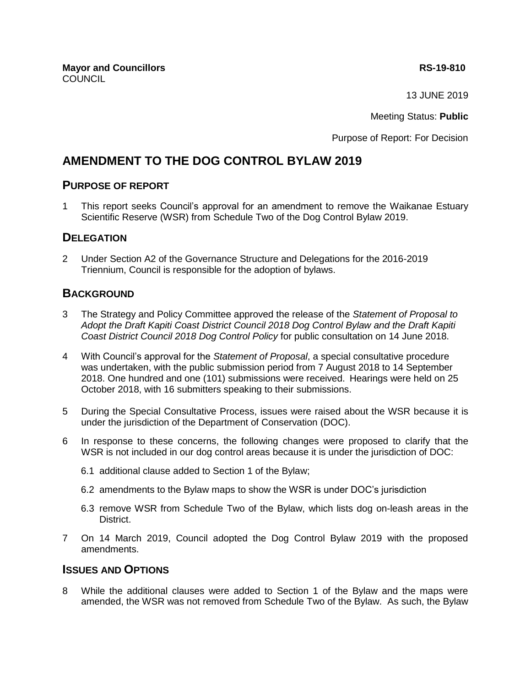**Mayor and Councillors RS-19-810** COUNCIL

13 JUNE 2019

Meeting Status: **Public**

Purpose of Report: For Decision

# **AMENDMENT TO THE DOG CONTROL BYLAW 2019**

## **PURPOSE OF REPORT**

1 This report seeks Council's approval for an amendment to remove the Waikanae Estuary Scientific Reserve (WSR) from Schedule Two of the Dog Control Bylaw 2019.

# **DELEGATION**

2 Under Section A2 of the Governance Structure and Delegations for the 2016-2019 Triennium, Council is responsible for the adoption of bylaws.

# **BACKGROUND**

- 3 The Strategy and Policy Committee approved the release of the *Statement of Proposal to Adopt the Draft Kapiti Coast District Council 2018 Dog Control Bylaw and the Draft Kapiti Coast District Council 2018 Dog Control Policy* for public consultation on 14 June 2018.
- 4 With Council's approval for the *Statement of Proposal*, a special consultative procedure was undertaken, with the public submission period from 7 August 2018 to 14 September 2018. One hundred and one (101) submissions were received. Hearings were held on 25 October 2018, with 16 submitters speaking to their submissions.
- 5 During the Special Consultative Process, issues were raised about the WSR because it is under the jurisdiction of the Department of Conservation (DOC).
- 6 In response to these concerns, the following changes were proposed to clarify that the WSR is not included in our dog control areas because it is under the jurisdiction of DOC:
	- 6.1 additional clause added to Section 1 of the Bylaw;
	- 6.2 amendments to the Bylaw maps to show the WSR is under DOC's jurisdiction
	- 6.3 remove WSR from Schedule Two of the Bylaw, which lists dog on-leash areas in the District.
- 7 On 14 March 2019, Council adopted the Dog Control Bylaw 2019 with the proposed amendments.

# **ISSUES AND OPTIONS**

8 While the additional clauses were added to Section 1 of the Bylaw and the maps were amended, the WSR was not removed from Schedule Two of the Bylaw. As such, the Bylaw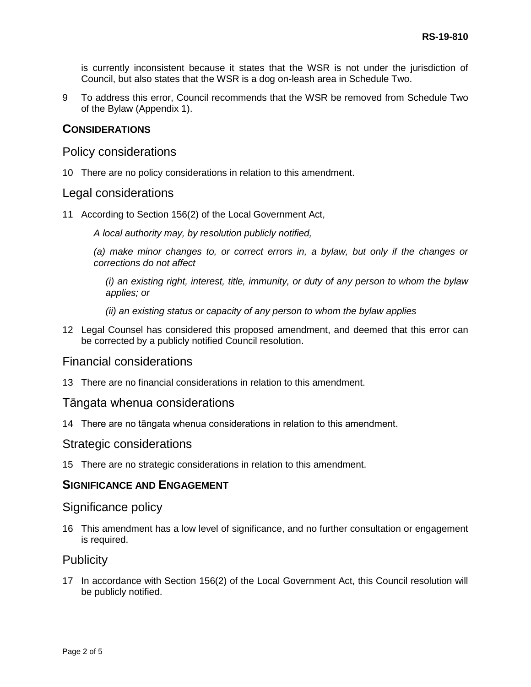is currently inconsistent because it states that the WSR is not under the jurisdiction of Council, but also states that the WSR is a dog on-leash area in Schedule Two.

9 To address this error, Council recommends that the WSR be removed from Schedule Two of the Bylaw (Appendix 1).

# **CONSIDERATIONS**

# Policy considerations

10 There are no policy considerations in relation to this amendment.

# Legal considerations

11 According to Section 156(2) of the Local Government Act,

*A local authority may, by resolution publicly notified,*

*(a) make minor changes to, or correct errors in, a bylaw, but only if the changes or corrections do not affect*

*(i) an existing right, interest, title, immunity, or duty of any person to whom the bylaw applies; or*

- *(ii) an existing status or capacity of any person to whom the bylaw applies*
- 12 Legal Counsel has considered this proposed amendment, and deemed that this error can be corrected by a publicly notified Council resolution.

# Financial considerations

13 There are no financial considerations in relation to this amendment.

## Tāngata whenua considerations

14 There are no tāngata whenua considerations in relation to this amendment.

#### Strategic considerations

15 There are no strategic considerations in relation to this amendment.

### **SIGNIFICANCE AND ENGAGEMENT**

## Significance policy

16 This amendment has a low level of significance, and no further consultation or engagement is required.

## **Publicity**

17 In accordance with Section 156(2) of the Local Government Act, this Council resolution will be publicly notified.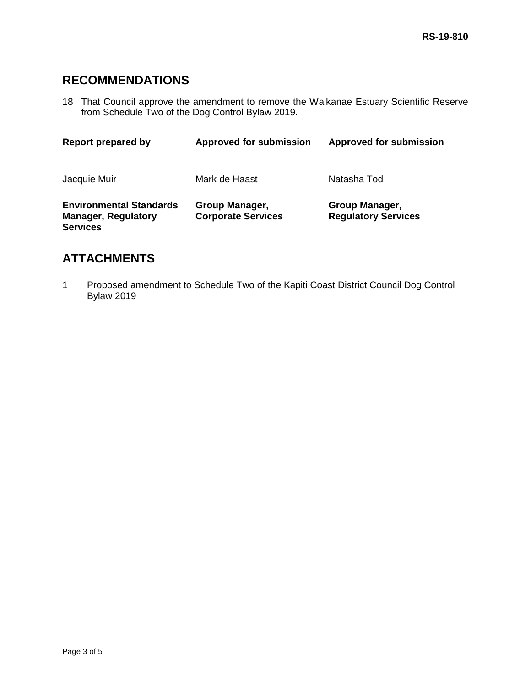# **RECOMMENDATIONS**

18 That Council approve the amendment to remove the Waikanae Estuary Scientific Reserve from Schedule Two of the Dog Control Bylaw 2019.

| Report prepared by                                                              | <b>Approved for submission</b>              | <b>Approved for submission</b>               |
|---------------------------------------------------------------------------------|---------------------------------------------|----------------------------------------------|
| Jacquie Muir                                                                    | Mark de Haast                               | Natasha Tod                                  |
| <b>Environmental Standards</b><br><b>Manager, Regulatory</b><br><b>Services</b> | Group Manager,<br><b>Corporate Services</b> | Group Manager,<br><b>Regulatory Services</b> |

# **ATTACHMENTS**

1 Proposed amendment to Schedule Two of the Kapiti Coast District Council Dog Control Bylaw 2019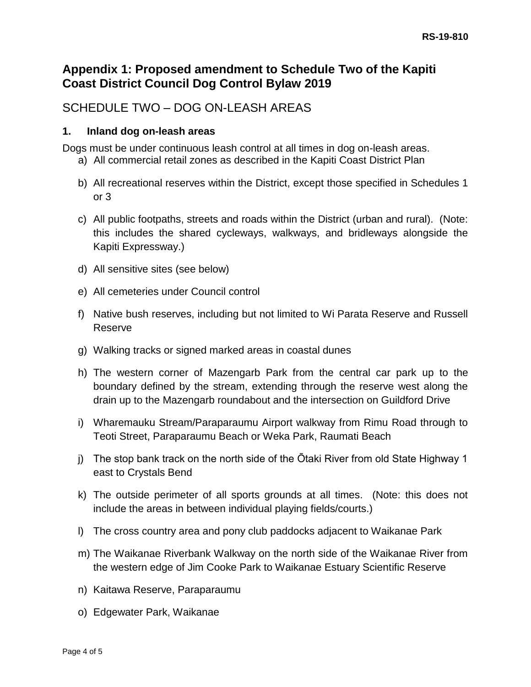# **Appendix 1: Proposed amendment to Schedule Two of the Kapiti Coast District Council Dog Control Bylaw 2019**

# SCHEDULE TWO – DOG ON-LEASH AREAS

# **1. Inland dog on-leash areas**

Dogs must be under continuous leash control at all times in dog on-leash areas.

- a) All commercial retail zones as described in the Kapiti Coast District Plan
- b) All recreational reserves within the District, except those specified in Schedules 1 or 3
- c) All public footpaths, streets and roads within the District (urban and rural). (Note: this includes the shared cycleways, walkways, and bridleways alongside the Kapiti Expressway.)
- d) All sensitive sites (see below)
- e) All cemeteries under Council control
- f) Native bush reserves, including but not limited to Wi Parata Reserve and Russell Reserve
- g) Walking tracks or signed marked areas in coastal dunes
- h) The western corner of Mazengarb Park from the central car park up to the boundary defined by the stream, extending through the reserve west along the drain up to the Mazengarb roundabout and the intersection on Guildford Drive
- i) Wharemauku Stream/Paraparaumu Airport walkway from Rimu Road through to Teoti Street, Paraparaumu Beach or Weka Park, Raumati Beach
- j) The stop bank track on the north side of the Ōtaki River from old State Highway 1 east to Crystals Bend
- k) The outside perimeter of all sports grounds at all times. (Note: this does not include the areas in between individual playing fields/courts.)
- l) The cross country area and pony club paddocks adjacent to Waikanae Park
- m) The Waikanae Riverbank Walkway on the north side of the Waikanae River from the western edge of Jim Cooke Park to Waikanae Estuary Scientific Reserve
- n) Kaitawa Reserve, Paraparaumu
- o) Edgewater Park, Waikanae